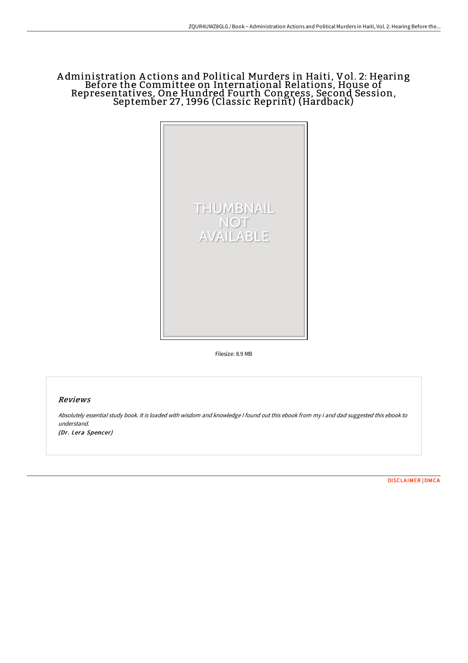# A dministration A ctions and Political Murders in Haiti, Vol. 2: Hearing Before the Committee on International Relations, House of Representatives, One Hundred Fourth Congress, Second Session, September 27, 1996 (Classic Reprint) (Hardback)



Filesize: 8.9 MB

## Reviews

Absolutely essential study book. It is loaded with wisdom and knowledge <sup>I</sup> found out this ebook from my i and dad suggested this ebook to understand. (Dr. Lera Spencer)

[DISCLAIMER](http://techno-pub.tech/disclaimer.html) | [DMCA](http://techno-pub.tech/dmca.html)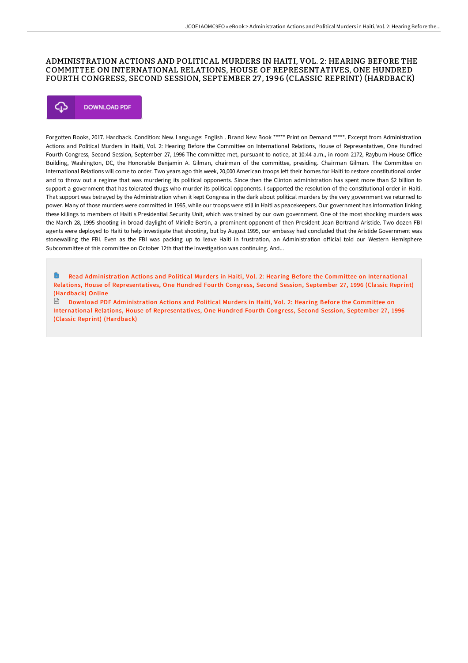## ADMINISTRATION ACTIONS AND POLITICAL MURDERS IN HAITI, VOL. 2: HEARING BEFORE THE COMMITTEE ON INTERNATIONAL RELATIONS, HOUSE OF REPRESENTATIVES, ONE HUNDRED FOURTH CONGRESS, SECOND SESSION, SEPTEMBER 27 , 1996 (CLASSIC REPRINT) (HARDBACK)



Forgotten Books, 2017. Hardback. Condition: New. Language: English . Brand New Book \*\*\*\*\* Print on Demand \*\*\*\*\*. Excerpt from Administration Actions and Political Murders in Haiti, Vol. 2: Hearing Before the Committee on International Relations, House of Representatives, One Hundred Fourth Congress, Second Session, September 27, 1996 The committee met, pursuant to notice, at 10:44 a.m., in room 2172, Rayburn House Office Building, Washington, DC, the Honorable Benjamin A. Gilman, chairman of the committee, presiding. Chairman Gilman. The Committee on International Relations will come to order. Two years ago this week, 20,000 American troops left their homes for Haiti to restore constitutional order and to throw out a regime that was murdering its political opponents. Since then the Clinton administration has spent more than \$2 billion to support a government that has tolerated thugs who murder its political opponents. I supported the resolution of the constitutional order in Haiti. That support was betrayed by the Administration when it kept Congress in the dark about political murders by the very government we returned to power. Many of those murders were committed in 1995, while our troops were still in Haiti as peacekeepers. Our government has information linking these killings to members of Haiti s Presidential Security Unit, which was trained by our own government. One of the most shocking murders was the March 28, 1995 shooting in broad daylight of Mirielle Bertin, a prominent opponent of then President Jean-Bertrand Aristide. Two dozen FBI agents were deployed to Haiti to help investigate that shooting, but by August 1995, our embassy had concluded that the Aristide Government was stonewalling the FBI. Even as the FBI was packing up to leave Haiti in frustration, an Administration official told our Western Hemisphere Subcommittee of this committee on October 12th that the investigation was continuing. And...

Read Administration Actions and Political Murders in Haiti, Vol. 2: Hearing Before the Committee on International Relations, House of [Representatives,](http://techno-pub.tech/administration-actions-and-political-murders-in--1.html) One Hundred Fourth Congress, Second Session, September 27, 1996 (Classic Reprint) (Hardback) Online

 $\Box$  Download PDF Administration Actions and Political Murders in Haiti, Vol. 2: Hearing Before the Committee on International Relations, House of [Representatives,](http://techno-pub.tech/administration-actions-and-political-murders-in--1.html) One Hundred Fourth Congress, Second Session, September 27, 1996 (Classic Reprint) (Hardback)